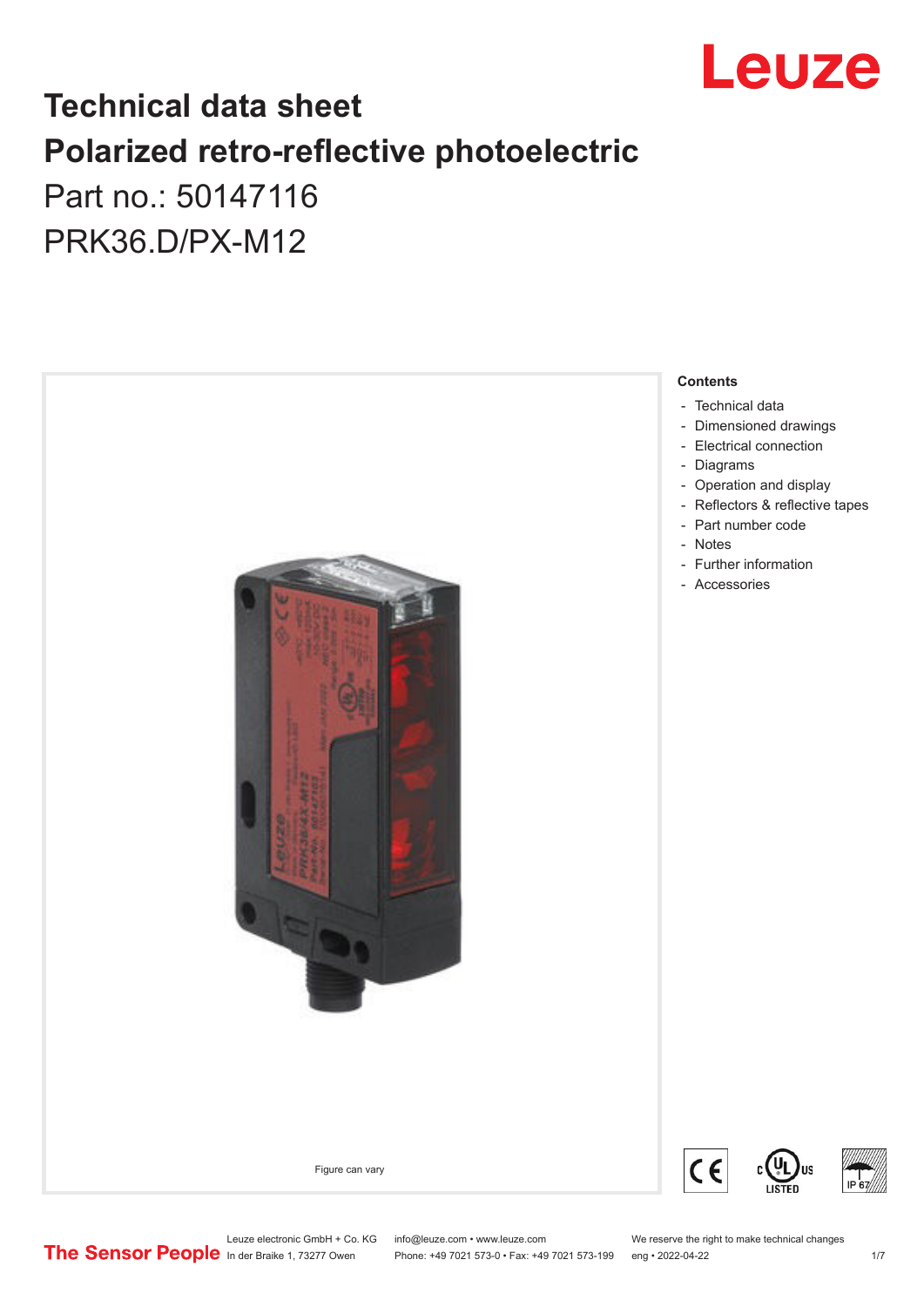

## **Technical data sheet Polarized retro-reflective photoelectric**  Part no.: 50147116

PRK36.D/PX-M12



Leuze electronic GmbH + Co. KG info@leuze.com • www.leuze.com We reserve the right to make technical changes<br>
The Sensor People in der Braike 1, 73277 Owen Phone: +49 7021 573-0 • Fax: +49 7021 573-199 eng • 2022-04-22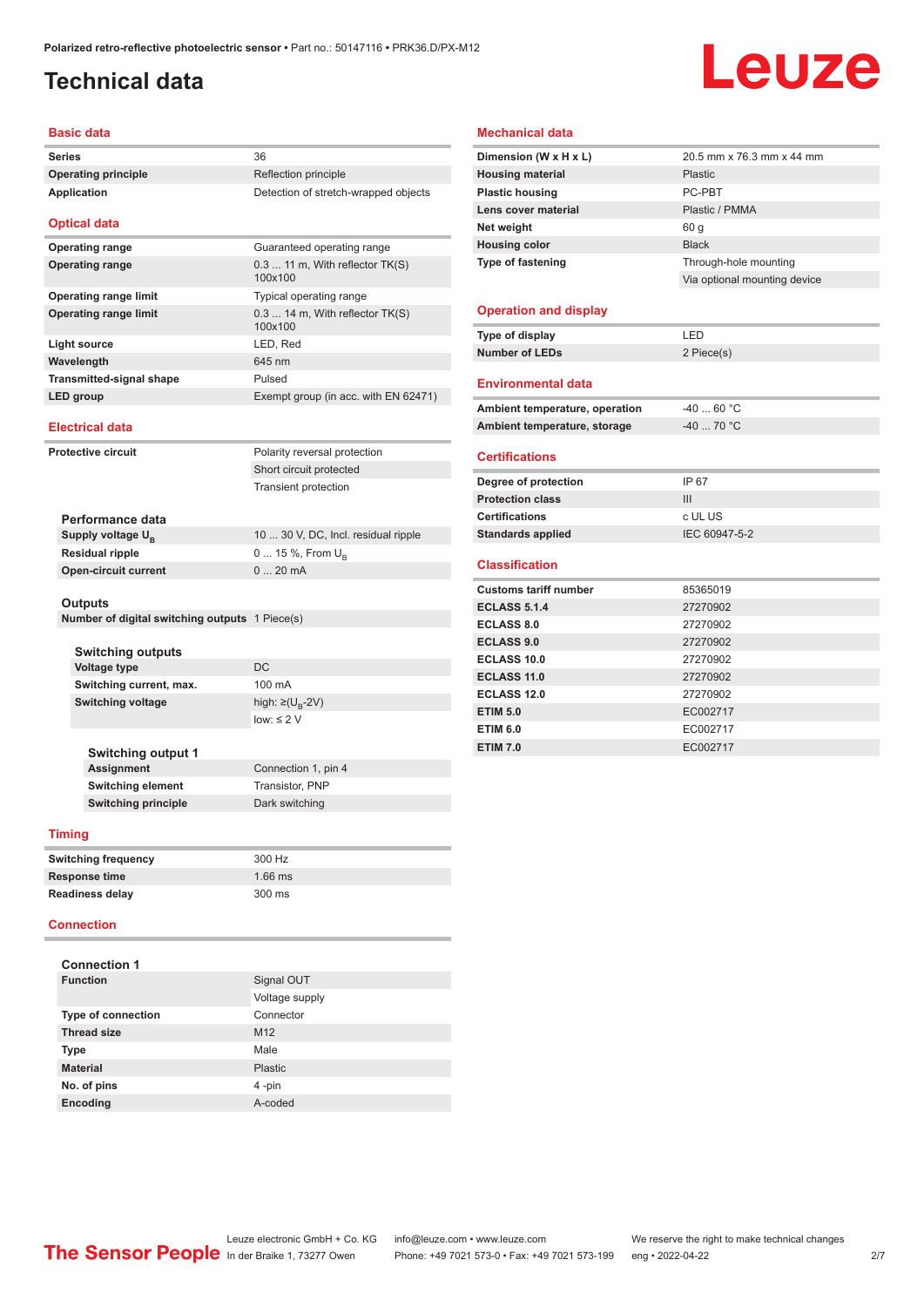## <span id="page-1-0"></span>**Technical data**

# Leuze

#### **Basic data**

| <b>Series</b>                   | 36                                           |
|---------------------------------|----------------------------------------------|
| <b>Operating principle</b>      | Reflection principle                         |
| <b>Application</b>              | Detection of stretch-wrapped objects         |
| <b>Optical data</b>             |                                              |
| <b>Operating range</b>          | Guaranteed operating range                   |
| <b>Operating range</b>          | $0.311$ m, With reflector $TK(S)$<br>100x100 |
| Operating range limit           | Typical operating range                      |
| <b>Operating range limit</b>    | $0.314$ m, With reflector $TK(S)$<br>100x100 |
| Light source                    | LED, Red                                     |
| Wavelength                      | 645 nm                                       |
| <b>Transmitted-signal shape</b> | Pulsed                                       |
| LED group                       | Exempt group (in acc. with EN 62471)         |
| Flectrical data                 |                                              |

#### **Electrical data**

| <b>Protective circuit</b>   | Polarity reversal protection        |
|-----------------------------|-------------------------------------|
|                             | Short circuit protected             |
|                             | Transient protection                |
| Performance data            |                                     |
| Supply voltage $U_{B}$      | 10  30 V, DC, Incl. residual ripple |
| <b>Residual ripple</b>      | 0  15 %, From $U_{\rm B}$           |
| <b>Open-circuit current</b> | $020$ mA                            |
| <b>Outputs</b>              |                                     |
|                             |                                     |

#### **Outputs**

**Number of digital switching outputs** 1 Piece(s)

| <b>Switching outputs</b> |                                   |
|--------------------------|-----------------------------------|
| Voltage type             | DC.                               |
| Switching current, max.  | 100 mA                            |
| <b>Switching voltage</b> | high: $\geq$ (U <sub>B</sub> -2V) |
|                          | $low: \leq 2$ V                   |
|                          |                                   |

| Switching output 1         |                     |
|----------------------------|---------------------|
| <b>Assignment</b>          | Connection 1, pin 4 |
| <b>Switching element</b>   | Transistor, PNP     |
| <b>Switching principle</b> | Dark switching      |

#### **Timing**

| <b>Switching frequency</b> | 300 Hz    |
|----------------------------|-----------|
| Response time              | $1.66$ ms |
| <b>Readiness delay</b>     | 300 ms    |

#### **Connection**

| <b>Connection 1</b>       |                 |
|---------------------------|-----------------|
| <b>Function</b>           | Signal OUT      |
|                           | Voltage supply  |
| <b>Type of connection</b> | Connector       |
| <b>Thread size</b>        | M <sub>12</sub> |
| <b>Type</b>               | Male            |
| <b>Material</b>           | Plastic         |
| No. of pins               | 4-pin           |
| Encoding                  | A-coded         |

#### **Mechanical data**

| Dimension (W x H x L)          | 20.5 mm x 76.3 mm x 44 mm    |
|--------------------------------|------------------------------|
| <b>Housing material</b>        | Plastic                      |
| <b>Plastic housing</b>         | PC-PRT                       |
| Lens cover material            | Plastic / PMMA               |
| Net weight                     | 60 g                         |
| <b>Housing color</b>           | <b>Black</b>                 |
| Type of fastening              | Through-hole mounting        |
|                                | Via optional mounting device |
|                                |                              |
| <b>Operation and display</b>   |                              |
| Type of display                | LED                          |
| <b>Number of LEDs</b>          | 2 Piece(s)                   |
|                                |                              |
| <b>Environmental data</b>      |                              |
| Ambient temperature, operation | $-4060 °C$                   |
| Ambient temperature, storage   | $-40$ 70 °C                  |
|                                |                              |
| <b>Certifications</b>          |                              |
| Degree of protection           | IP 67                        |
| <b>Protection class</b>        | III                          |
| <b>Certifications</b>          | c UL US                      |
| <b>Standards applied</b>       | IEC 60947-5-2                |
|                                |                              |
| <b>Classification</b>          |                              |
| <b>Customs tariff number</b>   | 85365019                     |
| <b>ECLASS 5.1.4</b>            | 27270902                     |
| <b>ECLASS 8.0</b>              | 27270902                     |
| <b>ECLASS 9.0</b>              | 27270902                     |
| ECLASS 10.0                    | 27270902                     |
| ECLASS 11.0                    | 27270902                     |
| <b>ECLASS 12.0</b>             | 27270902                     |
| <b>ETIM 5.0</b>                | EC002717                     |
| <b>ETIM 6.0</b>                | EC002717                     |
| <b>ETIM 7.0</b>                | EC002717                     |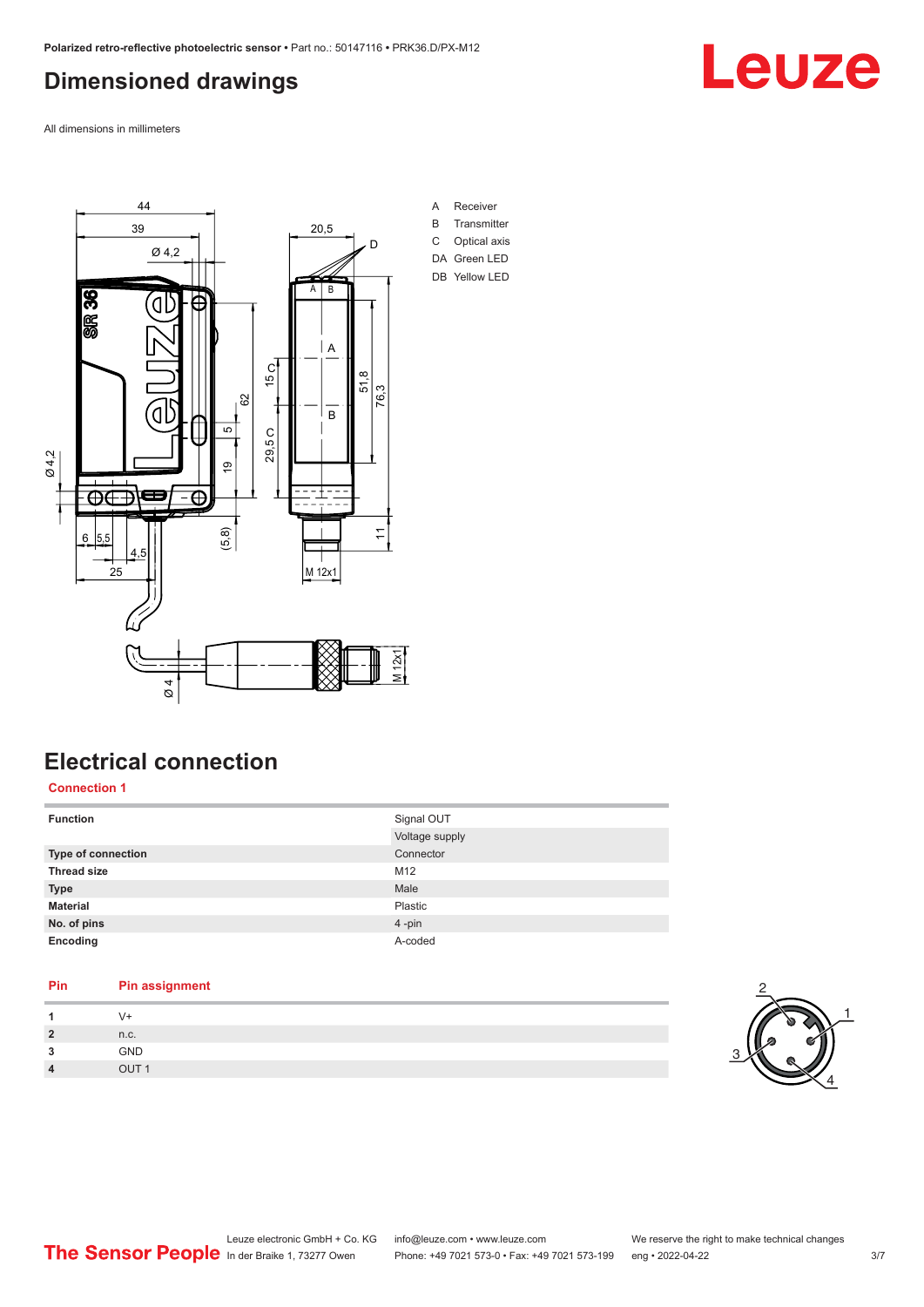### <span id="page-2-0"></span>**Dimensioned drawings**

Leuze

All dimensions in millimeters



## **Electrical connection**

#### **Connection 1**

| <b>Function</b>    | Signal OUT     |
|--------------------|----------------|
|                    | Voltage supply |
| Type of connection | Connector      |
| <b>Thread size</b> | M12            |
| <b>Type</b>        | Male           |
| <b>Material</b>    | Plastic        |
| No. of pins        | 4-pin          |
| Encoding           | A-coded        |

## **Pin Pin assignment**

| и              | V+               |  |
|----------------|------------------|--|
| $\overline{2}$ | n.c.             |  |
| 3              | <b>GND</b>       |  |
| $\overline{4}$ | OUT <sub>1</sub> |  |

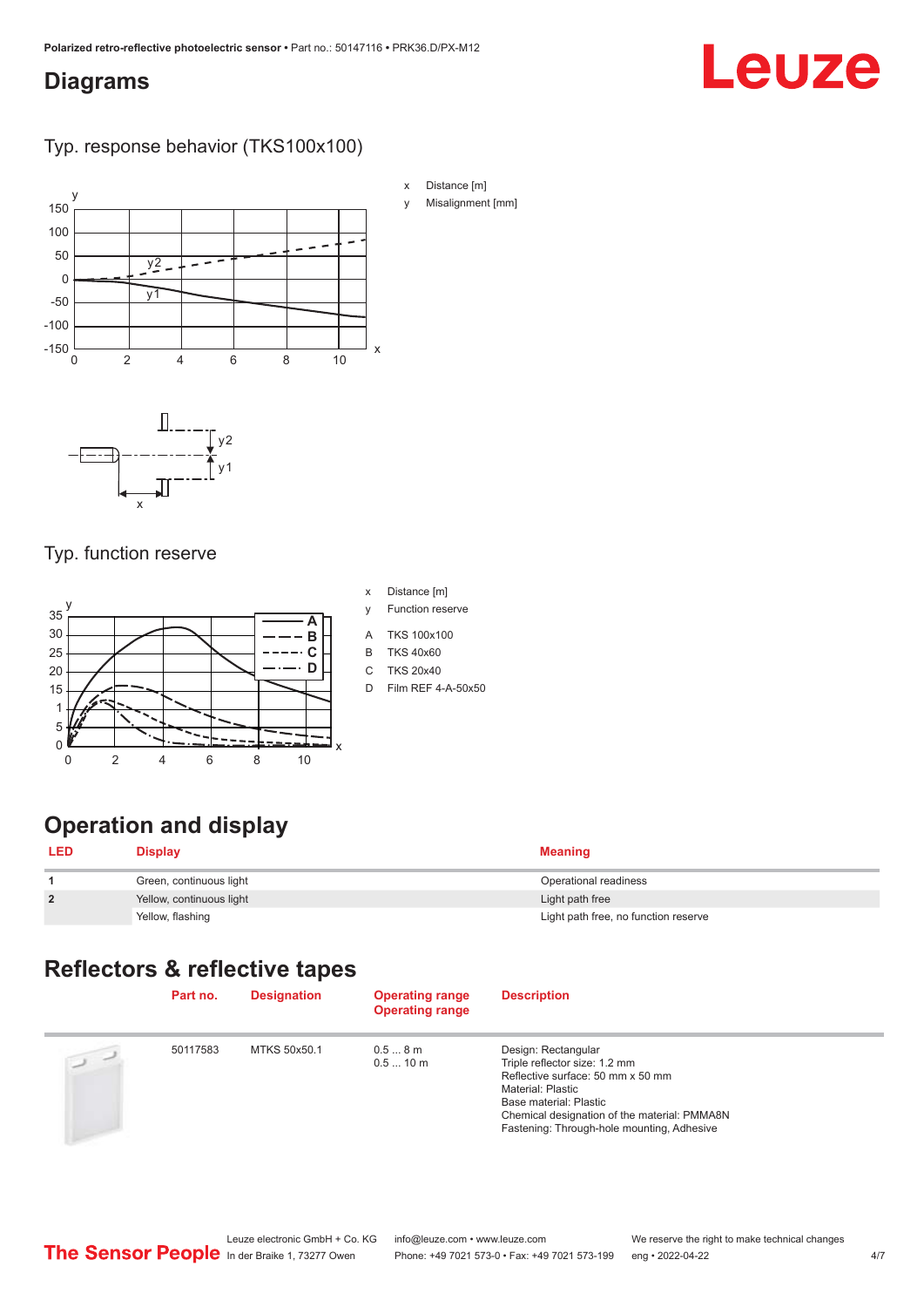#### <span id="page-3-0"></span>**Diagrams**

## Leuze

#### Typ. response behavior (TKS100x100)



#### Typ. function reserve

 $\mathsf{x}$ 



- x Distance [m]
- y Function reserve
- A TKS 100x100
- B TKS 40x60
- C TKS 20x40
- D Film REF 4-A-50x50

## **Operation and display**

| <b>LED</b>   | <b>Display</b>           | <b>Meaning</b>                       |
|--------------|--------------------------|--------------------------------------|
|              | Green, continuous light  | Operational readiness                |
| $\mathbf{2}$ | Yellow, continuous light | Light path free                      |
|              | Yellow, flashing         | Light path free, no function reserve |

#### **Reflectors & reflective tapes**

|                | Part no. | <b>Designation</b> | <b>Operating range</b><br><b>Operating range</b> | <b>Description</b>                                                                                                                                                                                                                     |
|----------------|----------|--------------------|--------------------------------------------------|----------------------------------------------------------------------------------------------------------------------------------------------------------------------------------------------------------------------------------------|
| $\overline{2}$ | 50117583 | MTKS 50x50.1       | 0.58m<br>0.510 m                                 | Design: Rectangular<br>Triple reflector size: 1.2 mm<br>Reflective surface: 50 mm x 50 mm<br>Material: Plastic<br>Base material: Plastic<br>Chemical designation of the material: PMMA8N<br>Fastening: Through-hole mounting, Adhesive |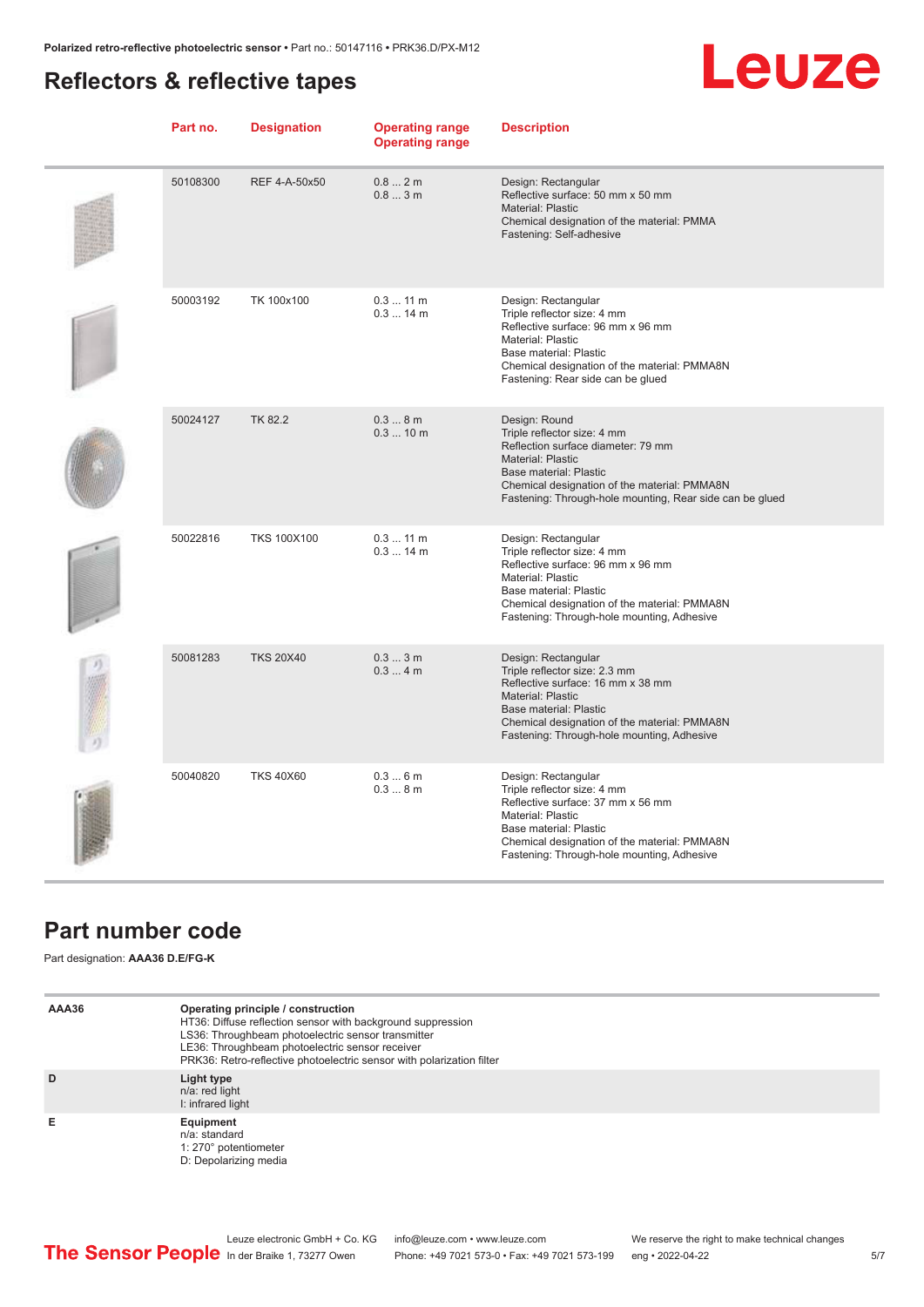### <span id="page-4-0"></span>**Reflectors & reflective tapes**



| Part no. | <b>Designation</b> | <b>Operating range</b><br><b>Operating range</b> | <b>Description</b>                                                                                                                                                                                                                                   |
|----------|--------------------|--------------------------------------------------|------------------------------------------------------------------------------------------------------------------------------------------------------------------------------------------------------------------------------------------------------|
| 50108300 | REF 4-A-50x50      | 0.82m<br>0.83m                                   | Design: Rectangular<br>Reflective surface: 50 mm x 50 mm<br><b>Material: Plastic</b><br>Chemical designation of the material: PMMA<br>Fastening: Self-adhesive                                                                                       |
| 50003192 | TK 100x100         | $0.311$ m<br>$0.314$ m                           | Design: Rectangular<br>Triple reflector size: 4 mm<br>Reflective surface: 96 mm x 96 mm<br>Material: Plastic<br>Base material: Plastic<br>Chemical designation of the material: PMMA8N<br>Fastening: Rear side can be glued                          |
| 50024127 | <b>TK 82.2</b>     | 0.38m<br>0.310 m                                 | Design: Round<br>Triple reflector size: 4 mm<br>Reflection surface diameter: 79 mm<br><b>Material: Plastic</b><br>Base material: Plastic<br>Chemical designation of the material: PMMA8N<br>Fastening: Through-hole mounting, Rear side can be glued |
| 50022816 | <b>TKS 100X100</b> | 0.311 m<br>$0.314$ m                             | Design: Rectangular<br>Triple reflector size: 4 mm<br>Reflective surface: 96 mm x 96 mm<br>Material: Plastic<br>Base material: Plastic<br>Chemical designation of the material: PMMA8N<br>Fastening: Through-hole mounting, Adhesive                 |
| 50081283 | <b>TKS 20X40</b>   | 0.33m<br>0.34m                                   | Design: Rectangular<br>Triple reflector size: 2.3 mm<br>Reflective surface: 16 mm x 38 mm<br>Material: Plastic<br>Base material: Plastic<br>Chemical designation of the material: PMMA8N<br>Fastening: Through-hole mounting, Adhesive               |
| 50040820 | <b>TKS 40X60</b>   | 0.36m<br>0.38m                                   | Design: Rectangular<br>Triple reflector size: 4 mm<br>Reflective surface: 37 mm x 56 mm<br>Material: Plastic<br>Base material: Plastic<br>Chemical designation of the material: PMMA8N<br>Fastening: Through-hole mounting, Adhesive                 |

#### **Part number code**

Part designation: **AAA36 D.E/FG-K**

| AAA36 | Operating principle / construction<br>HT36: Diffuse reflection sensor with background suppression<br>LS36: Throughbeam photoelectric sensor transmitter<br>LE36: Throughbeam photoelectric sensor receiver<br>PRK36: Retro-reflective photoelectric sensor with polarization filter |
|-------|-------------------------------------------------------------------------------------------------------------------------------------------------------------------------------------------------------------------------------------------------------------------------------------|
| D     | Light type<br>n/a: red light<br>I: infrared light                                                                                                                                                                                                                                   |
| Е     | Equipment<br>$n/a$ : standard<br>1: 270° potentiometer<br>D: Depolarizing media                                                                                                                                                                                                     |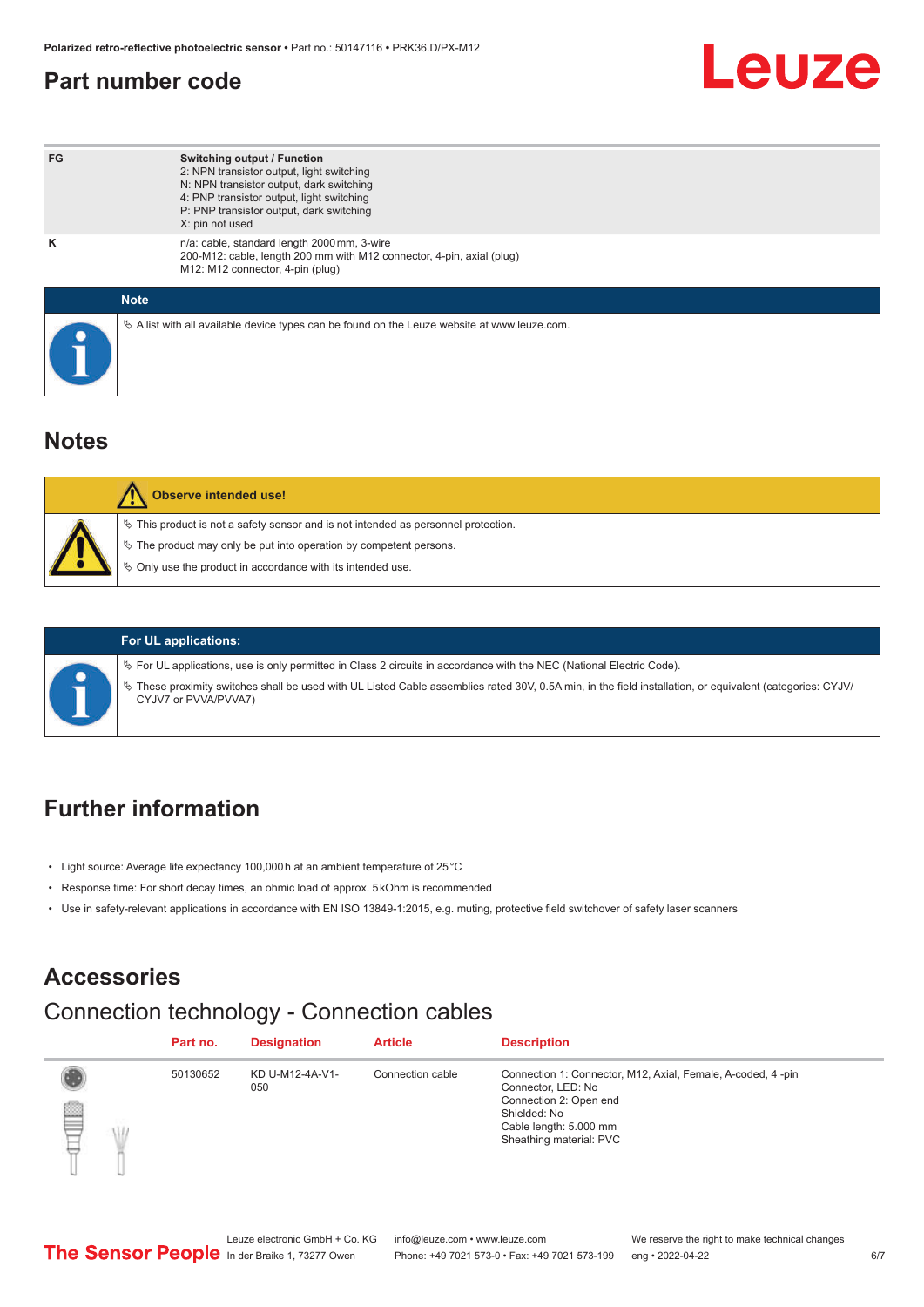#### <span id="page-5-0"></span>**Part number code**

## Leuze

| FG          | <b>Switching output / Function</b><br>2: NPN transistor output, light switching<br>N: NPN transistor output, dark switching<br>4: PNP transistor output, light switching<br>P: PNP transistor output, dark switching<br>X: pin not used |
|-------------|-----------------------------------------------------------------------------------------------------------------------------------------------------------------------------------------------------------------------------------------|
| ĸ           | n/a: cable, standard length 2000 mm, 3-wire<br>200-M12: cable, length 200 mm with M12 connector, 4-pin, axial (plug)<br>M12: M12 connector, 4-pin (plug)                                                                                |
| <b>Note</b> |                                                                                                                                                                                                                                         |
|             | $\&$ A list with all available device types can be found on the Leuze website at www.leuze.com.                                                                                                                                         |

#### **Notes**

| <b>Observe intended use!</b>                                                                                                                                                                                                  |
|-------------------------------------------------------------------------------------------------------------------------------------------------------------------------------------------------------------------------------|
| $\%$ This product is not a safety sensor and is not intended as personnel protection.<br>$\%$ The product may only be put into operation by competent persons.<br>♦ Only use the product in accordance with its intended use. |



#### **For UL applications:**

ª For UL applications, use is only permitted in Class 2 circuits in accordance with the NEC (National Electric Code).

ª These proximity switches shall be used with UL Listed Cable assemblies rated 30V, 0.5A min, in the field installation, or equivalent (categories: CYJV/ CYJV7 or PVVA/PVVA7)

### **Further information**

- Light source: Average life expectancy 100,000 h at an ambient temperature of 25 °C
- Response time: For short decay times, an ohmic load of approx. 5 kOhm is recommended
- Use in safety-relevant applications in accordance with EN ISO 13849-1:2015, e.g. muting, protective field switchover of safety laser scanners

#### **Accessories**

#### Connection technology - Connection cables

|   |   | Part no. | <b>Designation</b>     | <b>Article</b>   | <b>Description</b>                                                                                                                                                               |
|---|---|----------|------------------------|------------------|----------------------------------------------------------------------------------------------------------------------------------------------------------------------------------|
| ₿ | Ŵ | 50130652 | KD U-M12-4A-V1-<br>050 | Connection cable | Connection 1: Connector, M12, Axial, Female, A-coded, 4-pin<br>Connector, LED: No<br>Connection 2: Open end<br>Shielded: No<br>Cable length: 5.000 mm<br>Sheathing material: PVC |